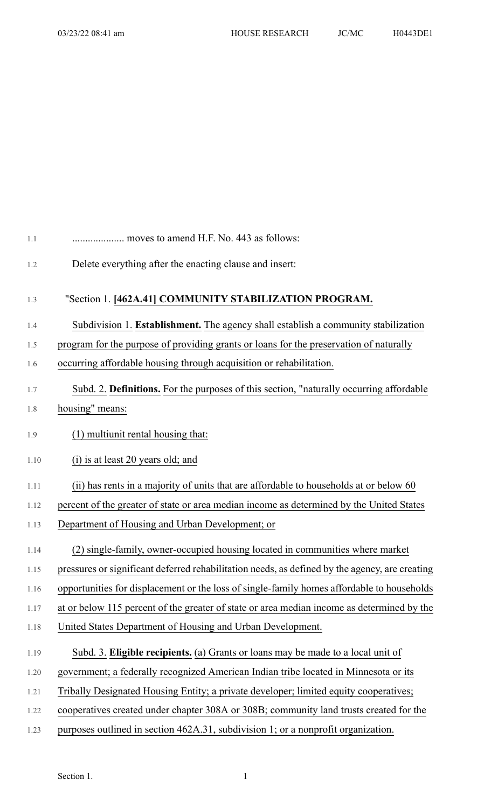| 1.1  | moves to amend H.F. No. 443 as follows:                                                        |
|------|------------------------------------------------------------------------------------------------|
| 1.2  | Delete everything after the enacting clause and insert:                                        |
| 1.3  | "Section 1. [462A.41] COMMUNITY STABILIZATION PROGRAM.                                         |
| 1.4  | Subdivision 1. Establishment. The agency shall establish a community stabilization             |
| 1.5  | program for the purpose of providing grants or loans for the preservation of naturally         |
| 1.6  | occurring affordable housing through acquisition or rehabilitation.                            |
| 1.7  | Subd. 2. Definitions. For the purposes of this section, "naturally occurring affordable        |
| 1.8  | housing" means:                                                                                |
| 1.9  | (1) multiunit rental housing that:                                                             |
| 1.10 | (i) is at least 20 years old; and                                                              |
| 1.11 | (ii) has rents in a majority of units that are affordable to households at or below 60         |
| 1.12 | percent of the greater of state or area median income as determined by the United States       |
| 1.13 | Department of Housing and Urban Development; or                                                |
| 1.14 | (2) single-family, owner-occupied housing located in communities where market                  |
| 1.15 | pressures or significant deferred rehabilitation needs, as defined by the agency, are creating |
| 1.16 | opportunities for displacement or the loss of single-family homes affordable to households     |
| 1.17 | at or below 115 percent of the greater of state or area median income as determined by the     |
| 1.18 | United States Department of Housing and Urban Development.                                     |
| 1.19 | Subd. 3. Eligible recipients. (a) Grants or loans may be made to a local unit of               |
| 1.20 | government; a federally recognized American Indian tribe located in Minnesota or its           |
| 1.21 | Tribally Designated Housing Entity; a private developer; limited equity cooperatives;          |
| 1.22 | cooperatives created under chapter 308A or 308B; community land trusts created for the         |
| 1.23 | purposes outlined in section 462A.31, subdivision 1; or a nonprofit organization.              |